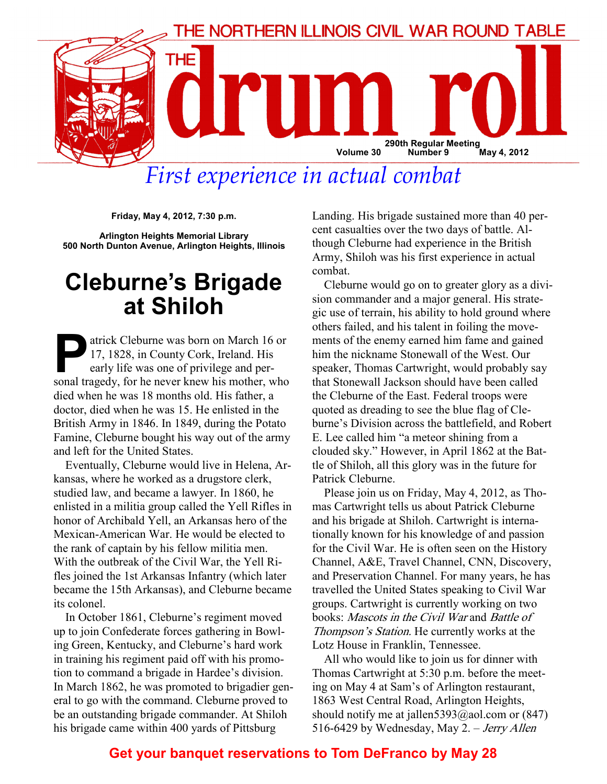

First experience in actual combat

Friday, May 4, 2012, 7:30 p.m.

Arlington Heights Memorial Library 500 North Dunton Avenue, Arlington Heights, Illinois

## Cleburne's Brigade at Shiloh

atrick Cleburne was born on March 16 or 17, 1828, in County Cork, Ireland. His early life was one of privilege and personal tragedy, for he never knew his mother, who died when he was 18 months old. His father, a doctor, died when he was 15. He enlisted in the British Army in 1846. In 1849, during the Potato Famine, Cleburne bought his way out of the army and left for the United States.

Eventually, Cleburne would live in Helena, Arkansas, where he worked as a drugstore clerk, studied law, and became a lawyer. In 1860, he enlisted in a militia group called the Yell Rifles in honor of Archibald Yell, an Arkansas hero of the Mexican-American War. He would be elected to the rank of captain by his fellow militia men. With the outbreak of the Civil War, the Yell Rifles joined the 1st Arkansas Infantry (which later became the 15th Arkansas), and Cleburne became its colonel.

In October 1861, Cleburne's regiment moved up to join Confederate forces gathering in Bowling Green, Kentucky, and Cleburne's hard work in training his regiment paid off with his promotion to command a brigade in Hardee's division. In March 1862, he was promoted to brigadier general to go with the command. Cleburne proved to be an outstanding brigade commander. At Shiloh his brigade came within 400 yards of Pittsburg

Landing. His brigade sustained more than 40 percent casualties over the two days of battle. Although Cleburne had experience in the British Army, Shiloh was his first experience in actual combat.

Cleburne would go on to greater glory as a division commander and a major general. His strategic use of terrain, his ability to hold ground where others failed, and his talent in foiling the movements of the enemy earned him fame and gained him the nickname Stonewall of the West. Our speaker, Thomas Cartwright, would probably say that Stonewall Jackson should have been called the Cleburne of the East. Federal troops were quoted as dreading to see the blue flag of Cleburne's Division across the battlefield, and Robert E. Lee called him "a meteor shining from a clouded sky." However, in April 1862 at the Battle of Shiloh, all this glory was in the future for Patrick Cleburne.

Please join us on Friday, May 4, 2012, as Thomas Cartwright tells us about Patrick Cleburne and his brigade at Shiloh. Cartwright is internationally known for his knowledge of and passion for the Civil War. He is often seen on the History Channel, A&E, Travel Channel, CNN, Discovery, and Preservation Channel. For many years, he has travelled the United States speaking to Civil War groups. Cartwright is currently working on two books: Mascots in the Civil War and Battle of Thompson's Station. He currently works at the Lotz House in Franklin, Tennessee.

All who would like to join us for dinner with Thomas Cartwright at 5:30 p.m. before the meeting on May 4 at Sam's of Arlington restaurant, 1863 West Central Road, Arlington Heights, should notify me at jallen $5393$ @aol.com or (847) 516-6429 by Wednesday, May 2. – Jerry Allen

## Get your banquet reservations to Tom DeFranco by May 28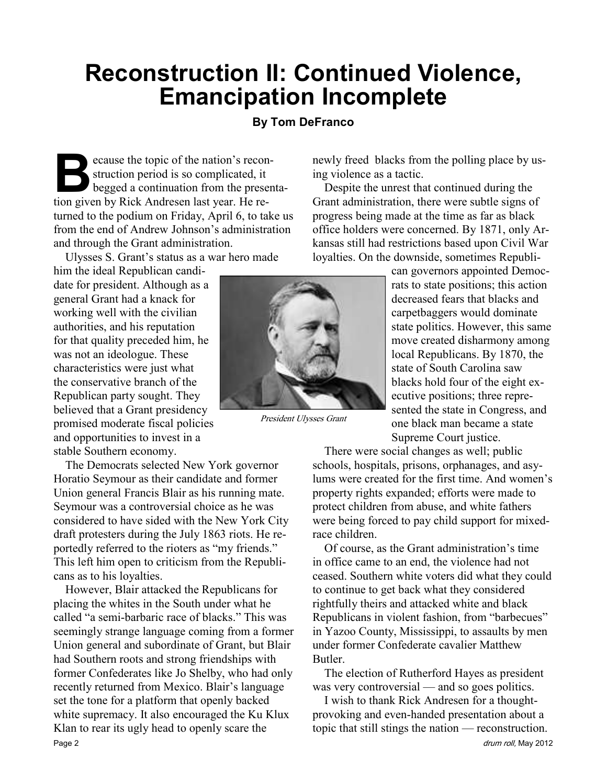## Reconstruction II: Continued Violence, Emancipation Incomplete

#### By Tom DeFranco

Ecause the topic of the nation's recon-<br>struction period is so complicated, it<br>begged a continuation from the presention given by Rick Andresen last year. He restruction period is so complicated, it begged a continuation from the presentation given by Rick Andresen last year. He returned to the podium on Friday, April 6, to take us from the end of Andrew Johnson's administration and through the Grant administration.

Ulysses S. Grant's status as a war hero made

him the ideal Republican candidate for president. Although as a general Grant had a knack for working well with the civilian authorities, and his reputation for that quality preceded him, he was not an ideologue. These characteristics were just what the conservative branch of the Republican party sought. They believed that a Grant presidency promised moderate fiscal policies and opportunities to invest in a stable Southern economy.

The Democrats selected New York governor Horatio Seymour as their candidate and former Union general Francis Blair as his running mate. Seymour was a controversial choice as he was considered to have sided with the New York City draft protesters during the July 1863 riots. He reportedly referred to the rioters as "my friends." This left him open to criticism from the Republicans as to his loyalties.

However, Blair attacked the Republicans for placing the whites in the South under what he called "a semi-barbaric race of blacks." This was seemingly strange language coming from a former Union general and subordinate of Grant, but Blair had Southern roots and strong friendships with former Confederates like Jo Shelby, who had only recently returned from Mexico. Blair's language set the tone for a platform that openly backed white supremacy. It also encouraged the Ku Klux Klan to rear its ugly head to openly scare the Page 2 drum roll, May 2012



President Ulysses Grant

newly freed blacks from the polling place by using violence as a tactic.

Despite the unrest that continued during the Grant administration, there were subtle signs of progress being made at the time as far as black office holders were concerned. By 1871, only Arkansas still had restrictions based upon Civil War loyalties. On the downside, sometimes Republi-

> can governors appointed Democrats to state positions; this action decreased fears that blacks and carpetbaggers would dominate state politics. However, this same move created disharmony among local Republicans. By 1870, the state of South Carolina saw blacks hold four of the eight executive positions; three represented the state in Congress, and one black man became a state Supreme Court justice.

There were social changes as well; public schools, hospitals, prisons, orphanages, and asylums were created for the first time. And women's property rights expanded; efforts were made to protect children from abuse, and white fathers were being forced to pay child support for mixedrace children.

Of course, as the Grant administration's time in office came to an end, the violence had not ceased. Southern white voters did what they could to continue to get back what they considered rightfully theirs and attacked white and black Republicans in violent fashion, from "barbecues" in Yazoo County, Mississippi, to assaults by men under former Confederate cavalier Matthew **Butler** 

The election of Rutherford Hayes as president was very controversial — and so goes politics.

I wish to thank Rick Andresen for a thoughtprovoking and even-handed presentation about a topic that still stings the nation — reconstruction.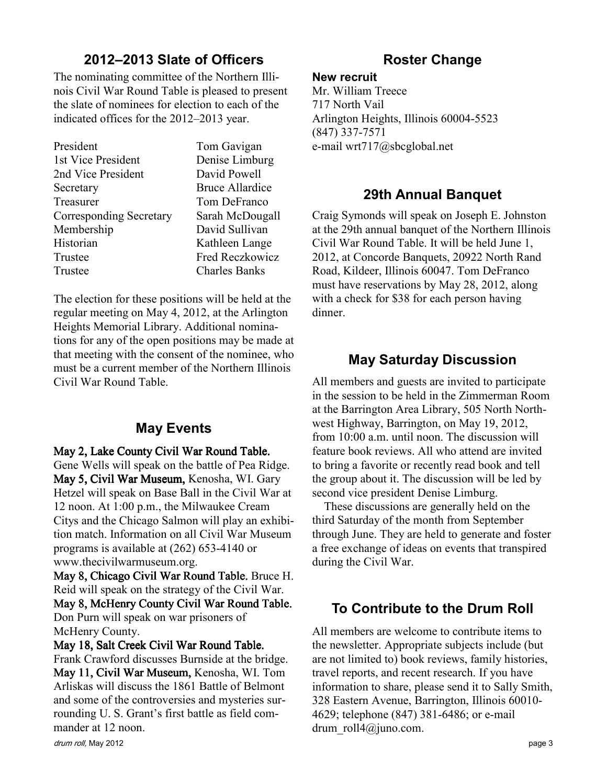## 2012–2013 Slate of Officers

The nominating committee of the Northern Illinois Civil War Round Table is pleased to present the slate of nominees for election to each of the indicated offices for the 2012–2013 year.

| Denise Limburg       |
|----------------------|
|                      |
| Bruce Allardice      |
| Tom DeFranco         |
| Sarah McDougall      |
| David Sullivan       |
| Kathleen Lange       |
| Fred Reczkowicz      |
| <b>Charles Banks</b> |
|                      |

The election for these positions will be held at the regular meeting on May 4, 2012, at the Arlington Heights Memorial Library. Additional nominations for any of the open positions may be made at that meeting with the consent of the nominee, who must be a current member of the Northern Illinois Civil War Round Table.

## May Events

May 2, Lake County Civil War Round Table. Gene Wells will speak on the battle of Pea Ridge. May 5, Civil War Museum, Kenosha, WI. Gary Hetzel will speak on Base Ball in the Civil War at 12 noon. At 1:00 p.m., the Milwaukee Cream Citys and the Chicago Salmon will play an exhibition match. Information on all Civil War Museum programs is available at (262) 653-4140 or www.thecivilwarmuseum.org.

May 8, Chicago Civil War Round Table. Bruce H. Reid will speak on the strategy of the Civil War.

May 8, McHenry County Civil War Round Table. Don Purn will speak on war prisoners of McHenry County.

#### May 18, Salt Creek Civil War Round Table.

Frank Crawford discusses Burnside at the bridge. May 11, Civil War Museum, Kenosha, WI. Tom Arliskas will discuss the 1861 Battle of Belmont and some of the controversies and mysteries surrounding U. S. Grant's first battle as field commander at 12 noon.

#### New recruit

Mr. William Treece 717 North Vail Arlington Heights, Illinois 60004-5523 (847) 337-7571 e-mail wrt717@sbcglobal.net

### 29th Annual Banquet

Craig Symonds will speak on Joseph E. Johnston at the 29th annual banquet of the Northern Illinois Civil War Round Table. It will be held June 1, 2012, at Concorde Banquets, 20922 North Rand Road, Kildeer, Illinois 60047. Tom DeFranco must have reservations by May 28, 2012, along with a check for \$38 for each person having dinner.

## May Saturday Discussion

All members and guests are invited to participate in the session to be held in the Zimmerman Room at the Barrington Area Library, 505 North Northwest Highway, Barrington, on May 19, 2012, from 10:00 a.m. until noon. The discussion will feature book reviews. All who attend are invited to bring a favorite or recently read book and tell the group about it. The discussion will be led by second vice president Denise Limburg.

These discussions are generally held on the third Saturday of the month from September through June. They are held to generate and foster a free exchange of ideas on events that transpired during the Civil War.

## To Contribute to the Drum Roll

All members are welcome to contribute items to the newsletter. Appropriate subjects include (but are not limited to) book reviews, family histories, travel reports, and recent research. If you have information to share, please send it to Sally Smith, 328 Eastern Avenue, Barrington, Illinois 60010- 4629; telephone (847) 381-6486; or e-mail drum roll4@juno.com.